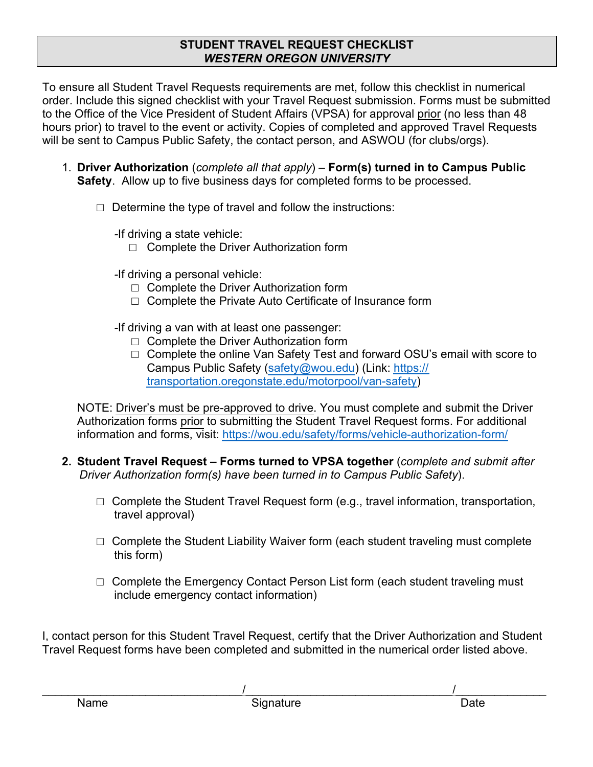## **STUDENT TRAVEL REQUEST CHECKLIST**  *WESTERN OREGON UNIVERSITY*

To ensure all Student Travel Requests requirements are met, follow this checklist in numerical order. Include this signed checklist with your Travel Request submission. Forms must be submitted to the Office of the Vice President of Student Affairs (VPSA) for approval prior (no less than 48 hours prior) to travel to the event or activity. Copies of completed and approved Travel Requests will be sent to Campus Public Safety, the contact person, and ASWOU (for clubs/orgs).

- 1. **Driver Authorization** (*complete all that apply*) **Form(s) turned in to Campus Public Safety**. Allow up to five business days for completed forms to be processed.
	- $\Box$  Determine the type of travel and follow the instructions:

*-*If driving a state vehicle:

- □ Complete the Driver Authorization form
- *-*If driving a personal vehicle:
	- □ Complete the Driver Authorization form
	- □ Complete the Private Auto Certificate of Insurance form
- *-*If driving a van with at least one passenger:
	- □ Complete the Driver Authorization form
	- □ Complete the online Van Safety Test and forward OSU's email with score to Campus Public Safety (safety@wou.edu) (Link: https:// transportation.oregonstate.edu/motorpool/van-safety)

NOTE: Driver's must be pre-approved to drive. You must complete and submit the Driver Authorization forms prior to submitting the Student Travel Request forms. For additional information and forms, visit: https://wou.edu/safety/forms/vehicle-authorization-form/

- **2. Student Travel Request Forms turned to VPSA together** (*complete and submit after Driver Authorization form(s) have been turned in to Campus Public Safety*).
	- $\Box$  Complete the Student Travel Request form (e.g., travel information, transportation, travel approval)
	- $\Box$  Complete the Student Liability Waiver form (each student traveling must complete this form)
	- $\Box$  Complete the Emergency Contact Person List form (each student traveling must include emergency contact information)

I, contact person for this Student Travel Request, certify that the Driver Authorization and Student Travel Request forms have been completed and submitted in the numerical order listed above.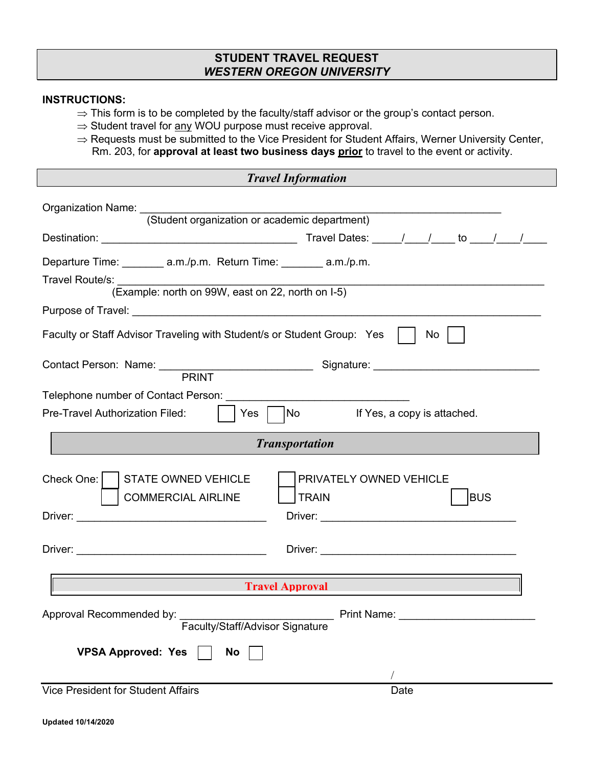### **STUDENT TRAVEL REQUEST**  *WESTERN OREGON UNIVERSITY*

#### **INSTRUCTIONS:**

- $\Rightarrow$  This form is to be completed by the faculty/staff advisor or the group's contact person.
- $\Rightarrow$  Student travel for  $\underline{any}$  WOU purpose must receive approval.
- $\Rightarrow$  Requests must be submitted to the Vice President for Student Affairs, Werner University Center, Rm. 203, for **approval at least two business days prior** to travel to the event or activity.

| <b>Travel Information</b>                                                                                                                                                                                                                                                                 |  |  |  |  |  |
|-------------------------------------------------------------------------------------------------------------------------------------------------------------------------------------------------------------------------------------------------------------------------------------------|--|--|--|--|--|
| Organization Name: (Student organization or academic department)                                                                                                                                                                                                                          |  |  |  |  |  |
|                                                                                                                                                                                                                                                                                           |  |  |  |  |  |
| Departure Time: ________ a.m./p.m. Return Time: _______ a.m./p.m.<br>Travel Route/s:                                                                                                                                                                                                      |  |  |  |  |  |
| (Example: north on 99W, east on 22, north on I-5)<br>Purpose of Travel: <u>Contract of American Contract of American Contract of American Contract of American Contract of American Contract of American Contract of American Contract of American Contract of American Contract of A</u> |  |  |  |  |  |
| Faculty or Staff Advisor Traveling with Student/s or Student Group: Yes<br>No                                                                                                                                                                                                             |  |  |  |  |  |
| Contact Person: Name: PRINT Signature: Signature:                                                                                                                                                                                                                                         |  |  |  |  |  |
| Telephone number of Contact Person: Network and Contact Person:<br>Pre-Travel Authorization Filed:<br>$ $ $ $ Yes $ $<br> No<br>If Yes, a copy is attached.                                                                                                                               |  |  |  |  |  |
| <b>Transportation</b>                                                                                                                                                                                                                                                                     |  |  |  |  |  |
| Check One:  <br><b>STATE OWNED VEHICLE</b><br>PRIVATELY OWNED VEHICLE<br><b>BUS</b><br><b>COMMERCIAL AIRLINE</b><br><b>TRAIN</b>                                                                                                                                                          |  |  |  |  |  |
|                                                                                                                                                                                                                                                                                           |  |  |  |  |  |
| <b>Travel Approval</b>                                                                                                                                                                                                                                                                    |  |  |  |  |  |
| Approval Recommended by:                                                                                                                                                                                                                                                                  |  |  |  |  |  |
| <b>VPSA Approved: Yes</b><br>No                                                                                                                                                                                                                                                           |  |  |  |  |  |
| <b>Vice President for Student Affairs</b><br>Date                                                                                                                                                                                                                                         |  |  |  |  |  |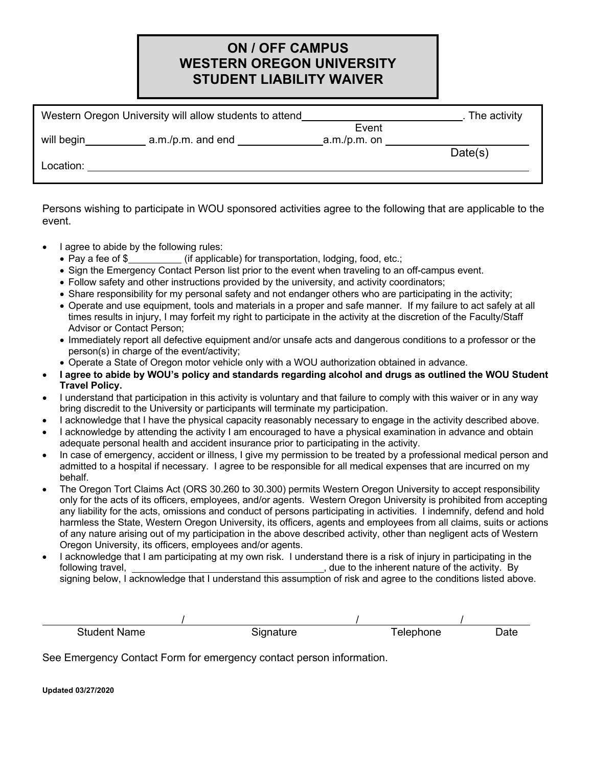## **ON / OFF CAMPUS WESTERN OREGON UNIVERSITY STUDENT LIABILITY WAIVER**

| Western Oregon University will allow students to attend |                | . The activity |
|---------------------------------------------------------|----------------|----------------|
|                                                         | Event          |                |
| will begin<br>a.m./p.m. and end                         | $a.m./p.m.$ on | Date(s)        |
| Location:                                               |                |                |
|                                                         |                |                |

Persons wishing to participate in WOU sponsored activities agree to the following that are applicable to the event.

- I agree to abide by the following rules:
	- Pay a fee of \$ (if applicable) for transportation, lodging, food, etc.;
	- Sign the Emergency Contact Person list prior to the event when traveling to an off-campus event.
	- Follow safety and other instructions provided by the university, and activity coordinators;
	- Share responsibility for my personal safety and not endanger others who are participating in the activity;
	- Operate and use equipment, tools and materials in a proper and safe manner. If my failure to act safely at all times results in injury, I may forfeit my right to participate in the activity at the discretion of the Faculty/Staff Advisor or Contact Person;
	- Immediately report all defective equipment and/or unsafe acts and dangerous conditions to a professor or the person(s) in charge of the event/activity;
	- Operate a State of Oregon motor vehicle only with a WOU authorization obtained in advance.
- **I agree to abide by WOU's policy and standards regarding alcohol and drugs as outlined the WOU Student Travel Policy.**
- I understand that participation in this activity is voluntary and that failure to comply with this waiver or in any way bring discredit to the University or participants will terminate my participation.
- I acknowledge that I have the physical capacity reasonably necessary to engage in the activity described above.
- I acknowledge by attending the activity I am encouraged to have a physical examination in advance and obtain adequate personal health and accident insurance prior to participating in the activity.
- In case of emergency, accident or illness, I give my permission to be treated by a professional medical person and admitted to a hospital if necessary. I agree to be responsible for all medical expenses that are incurred on my behalf.
- The Oregon Tort Claims Act (ORS 30.260 to 30.300) permits Western Oregon University to accept responsibility only for the acts of its officers, employees, and/or agents. Western Oregon University is prohibited from accepting any liability for the acts, omissions and conduct of persons participating in activities. I indemnify, defend and hold harmless the State, Western Oregon University, its officers, agents and employees from all claims, suits or actions of any nature arising out of my participation in the above described activity, other than negligent acts of Western Oregon University, its officers, employees and/or agents.
- I acknowledge that I am participating at my own risk. I understand there is a risk of injury in participating in the following travel, , due to the inherent nature of the activity. By signing below, I acknowledge that I understand this assumption of risk and agree to the conditions listed above.

| <b>Student Name</b> | Signature | Telephone | Date |
|---------------------|-----------|-----------|------|

See Emergency Contact Form for emergency contact person information.

**Updated 03/27/2020**